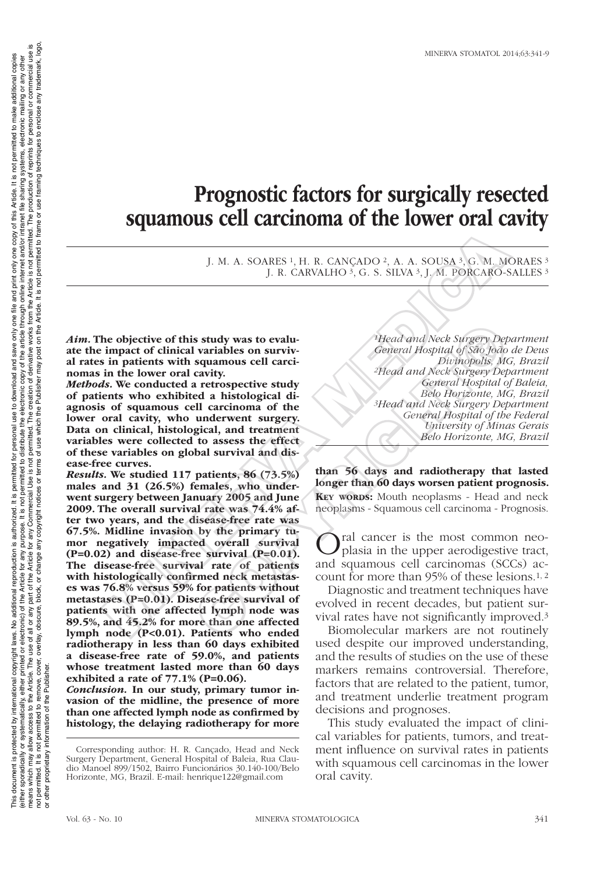# Prognostic factors for surgically resected squamous cell carcinoma of the lower oral cavity

J. M. A. SOARES 1, H. R. CANÇADO 2, A. A. SOUSA 3, G. M. MORAES 3 J. R. CARVALHO <sup>3</sup>, G. S. SILVA <sup>3</sup>, J. M. PORCARO-SALLES <sup>3</sup>

*Aim.* The objective of this study was to evaluate the impact of clinical variables on survival rates in patients with squamous cell carcinomas in the lower oral cavity.

*Methods.* We conducted a retrospective study of patients who exhibited a histological diagnosis of squamous cell carcinoma of the lower oral cavity, who underwent surgery. Data on clinical, histological, and treatment variables were collected to assess the effect of these variables on global survival and disease-free curves.

*Results.* We studied 117 patients, 86 (73.5%) males and 31 (26.5%) females, who underwent surgery between January 2005 and June 2009. The overall survival rate was 74.4% after two years, and the disease-free rate was 67.5%. Midline invasion by the primary tumor negatively impacted overall survival (P=0.02) and disease-free survival (P=0.01). The disease-free survival rate of patients with histologically confirmed neck metastases was 76.8% versus 59% for patients without metastases (P=0.01). Disease-free survival of patients with one affected lymph node was 89.5%, and 45.2% for more than one affected lymph node (P<0.01). Patients who ended radiotherapy in less than 60 days exhibited a disease-free rate of 59.0%, and patients whose treatment lasted more than 60 days exhibited a rate of 77.1% (P=0.06). J. M. A. SOARES i, H. R. CANCADO<sup>2</sup>, A. A. SOUSA<sup>3</sup>, G. M. M.<br>
J. R. CARVALHO<sup>3</sup>, G. S. SILVA<sup>3</sup>, J. M. PORCARO-<br>
impact of clinical variables on surviv-<br>
impact of clinical variables on surviv-<br>
in patients with squands Solution Standy was to evaluated and Neck Surgery Detainables on survivery the cavity.<br>
Senieral Hospital of São João<br>
squamous cell carci-<br>
Senieral Hospital of São João<br>
at a retrospective study<br>
at a retrospective study

*Conclusion.* In our study, primary tumor invasion of the midline, the presence of more than one affected lymph node as confirmed by histology, the delaying radiotherapy for more

*1Head and Neck Surgery Department General Hospital of São João de Deus Divinopolis, MG, Brazil 2Head and Neck Surgery Department General Hospital of Baleia, Belo Horizonte, MG, Brazil 3Head and Neck Surgery Department General Hospital of the Federal University of Minas Gerais Belo Horizonte, MG, Brazil*

than 56 days and radiotherapy that lasted longer than 60 days worsen patient prognosis.

KEY WORDS: Mouth neoplasms - Head and neck neoplasms - Squamous cell carcinoma - Prognosis.

Oral cancer is the most common neo-plasia in the upper aerodigestive tract, and squamous cell carcinomas (SCCs) account for more than 95% of these lesions.1, 2

Diagnostic and treatment techniques have evolved in recent decades, but patient survival rates have not significantly improved.3

Biomolecular markers are not routinely used despite our improved understanding, and the results of studies on the use of these markers remains controversial. Therefore, factors that are related to the patient, tumor, and treatment underlie treatment program decisions and prognoses.

This study evaluated the impact of clinical variables for patients, tumors, and treatment influence on survival rates in patients with squamous cell carcinomas in the lower oral cavity.

or other proprietary information of the Publisher.

not permitted. It is not permitted to remove, cover,<br>or other proprietary information of the Publisher.

This document is protected by international reproductional reproduction is authorized. It is permitted for personal use to download and save only one file and print only one copy of this Article. It is not permitted to mak (either sporadically, either printed or electronic) of the Article for any purpose. It is not permited to distribute the electronic copy of the article thries internet and/or intranet file sharing systems, electronic maili means which may allow access to the Article. The use of the Article use any part of the Article for any Commercial Use is not perative works from the Article is not permitted. The production of reprints for personal or com not permitted to remove, cover, overlay, obscure, block, or change any copyright notices or terms of use which the Publisher may post on the Article. It is not permitted to frame or use framing techniques to enclose any tr

This document is protected by international copyright laws. No additional reproduction is authorized. It is permitted for personal use to download and save only

one copy of this Article. It is not permitted to make additional copies

one file and print only

(either sporadically or systematically, either printed or electronic) of the Article is not permitted to distribute the electronic copy of the article through online and/or intranet file sharing systems, electronic malling

Corresponding author: H. R. Cançado, Head and Neck Surgery Department, General Hospital of Baleia, Rua Claudio Manoel 899/1502, Bairro Funcionários 30.140-100/Belo Horizonte, MG, Brazil. E-mail: henrique122@gmail.com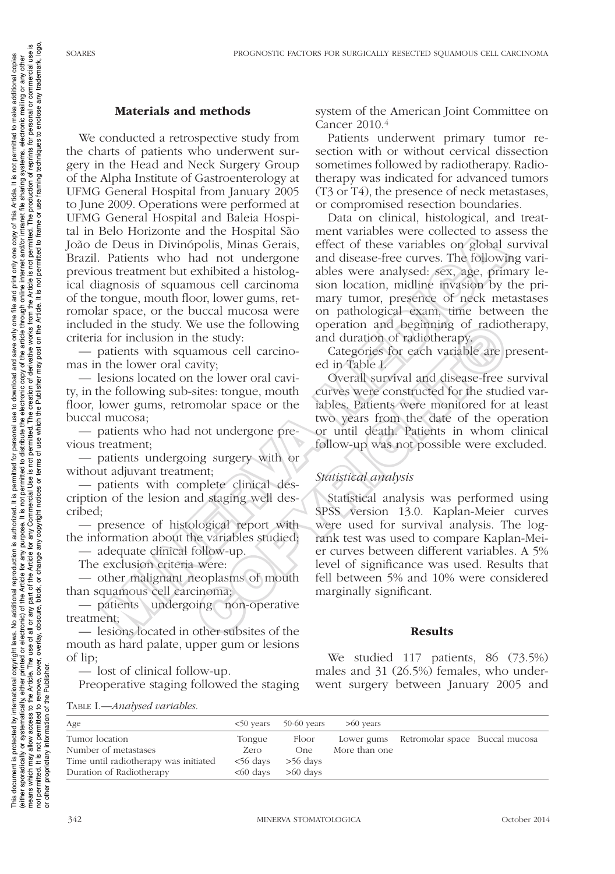framing

<sub>use</sub>

is not permitted. The p<br>permitted to frame or

permitted. The creation of derivative works from the Article is not<br>of use which the Publisher may post on the Article. It is not permit

terms  $\overline{5}$ notices

any copyright

change

part of the A<br>block, or ch

to the Article. The use of all or any<br>to remove, cover, overlay, obscure,

d to remove, cove<br>of the Publisher.

It is not permitted to make additional copies

one copy of this Article.

file and print only

one f

This document is protected by international reproductional reproduction is authorized. It is permitted for personal use to download and save only one file and print only one copy of this Article. It is not permitted to mak (either sporadically, either printed or electronic) of the Article for any purpose. It is not permited to distribute the electronic copy of the article thries internet and/or intranet file sharing systems, electronic maili means which may allow access to the Article. The use of the Article use any part of the Article for any Commercial Use is not perative works from the Article is not permitted. The production of reprints for personal or com

copyright laws. No additional reproduction is authorized. It is permitted for

personal use to download and save only

## Materials and methods

We conducted a retrospective study from the charts of patients who underwent surgery in the Head and Neck Surgery Group of the Alpha Institute of Gastroenterology at UFMG General Hospital from January 2005 to June 2009. Operations were performed at UFMG General Hospital and Baleia Hospital in Belo Horizonte and the Hospital São João de Deus in Divinópolis, Minas Gerais, Brazil. Patients who had not undergone previous treatment but exhibited a histological diagnosis of squamous cell carcinoma of the tongue, mouth floor, lower gums, retromolar space, or the buccal mucosa were included in the study. We use the following criteria for inclusion in the study: Section and the Hospital stole means what allows were concerced to assume the Deuts in Divinopolis, Minas Geral effect of these variables or global and Patients who had not undergone and disease-free curves. The following

— patients with squamous cell carcinomas in the lower oral cavity;

— lesions located on the lower oral cavity, in the following sub-sites: tongue, mouth floor, lower gums, retromolar space or the buccal mucosa;

— patients who had not undergone previous treatment;

— patients undergoing surgery with or without adjuvant treatment;

— patients with complete clinical description of the lesion and staging well described;

— presence of histological report with the information about the variables studied;

— adequate clinical follow-up.

The exclusion criteria were:

— other malignant neoplasms of mouth than squamous cell carcinoma;

— patients undergoing non-operative treatment;

— lesions located in other subsites of the mouth as hard palate, upper gum or lesions of lip;

— lost of clinical follow-up. Preoperative staging followed the staging system of the American Joint Committee on Cancer 2010.4

Patients underwent primary tumor resection with or without cervical dissection sometimes followed by radiotherapy. Radiotherapy was indicated for advanced tumors (T3 or T4), the presence of neck metastases, or compromised resection boundaries.

Data on clinical, histological, and treatment variables were collected to assess the effect of these variables on global survival and disease-free curves. The following variables were analysed: sex, age, primary lesion location, midline invasion by the primary tumor, presence of neck metastases on pathological exam, time between the operation and beginning of radiotherapy, and duration of radiotherapy.

Categories for each variable are presented in Table I.

Overall survival and disease-free survival curves were constructed for the studied variables. Patients were monitored for at least two years from the date of the operation or until death. Patients in whom clinical follow-up was not possible were excluded.

# *Statistical analysis*

Statistical analysis was performed using SPSS version 13.0. Kaplan-Meier curves were used for survival analysis. The logrank test was used to compare Kaplan-Meier curves between different variables. A 5% level of significance was used. Results that fell between 5% and 10% were considered marginally significant. Example the studient studient studient studient studient studient studient studient studient studient of radiotomology.<br>
The lower oral carrino-categories for each variable are provide an amous cell carcino-categories for

#### Results

We studied 117 patients, 86 (73.5%) males and 31 (26.5%) females, who underwent surgery between January 2005 and

Table I.—*Analysed variables.*

| Age                                   |                     | $50$ years $50-60$ years | $>60$ years   |                                           |  |
|---------------------------------------|---------------------|--------------------------|---------------|-------------------------------------------|--|
| Tumor location                        | Tongue              | Floor                    |               | Lower gums Retromolar space Buccal mucosa |  |
| Number of metastases                  | Zero                | One                      | More than one |                                           |  |
| Time until radiotherapy was initiated | $<$ 56 days         | $>56$ days               |               |                                           |  |
| Duration of Radiotherapy              | $< 60 \text{ days}$ | $>60$ days               |               |                                           |  |

or other proprietary information of the Publisher.

not permitted. It is not permitted<br>or other proprietary information o

This document is protected by international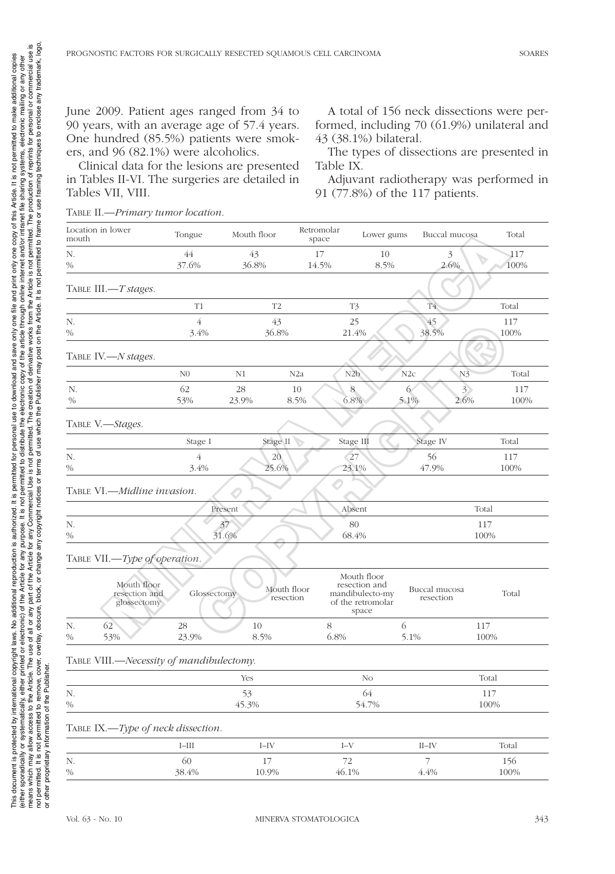June 2009. Patient ages ranged from 34 to 90 years, with an average age of 57.4 years. One hundred (85.5%) patients were smokers, and 96 (82.1%) were alcoholics.

Clinical data for the lesions are presented in Tables II-VI. The surgeries are detailed in Tables VII, VIII.

A total of 156 neck dissections were performed, including 70 (61.9%) unilateral and 43 (38.1%) bilateral.

The types of dissections are presented in Table IX.

Adjuvant radiotherapy was performed in 91 (77.8%) of the 117 patients.

|  | TABLE II.-Primary tumor location. |
|--|-----------------------------------|
|--|-----------------------------------|

| Location in lower<br>mouth                  | Tongue                 | Mouth floor              | Retromolar<br>space | Lower gums                                                                    | Buccal mucosa                  | Total                                      |  |
|---------------------------------------------|------------------------|--------------------------|---------------------|-------------------------------------------------------------------------------|--------------------------------|--------------------------------------------|--|
| N.<br>$\%$                                  | 44<br>37.6%            | 43<br>36.8%              | 17<br>14.5%         | 10<br>8.5%                                                                    | 3<br>2.6%                      | 117<br>$\mathcal{L}_{\mathcal{D}}$<br>100% |  |
| TABLE III.-T stages.                        |                        |                          |                     |                                                                               |                                |                                            |  |
|                                             | T1                     | T <sub>2</sub>           |                     | T3                                                                            | $\overline{\mathrm{T4}}$       | Total                                      |  |
| N.<br>$\%$                                  | $\overline{4}$<br>3.4% | 43<br>36.8%              |                     | 25<br>21.4%                                                                   | 45<br>38.5%                    | 117<br>100%                                |  |
| TABLE IV.-N stages.                         |                        |                          |                     |                                                                               |                                |                                            |  |
|                                             | N <sub>0</sub>         | N1                       | N <sub>2</sub> a    | N2b<br>N2c                                                                    | N <sub>3</sub>                 | Total                                      |  |
| N.<br>$\%$                                  | 62<br>53%              | 28<br>23.9%              | 10<br>8.5%          | 8<br>6<br>6.8%                                                                | 3 <sup>2</sup><br>5.1%<br>2.6% | 117<br>100%                                |  |
| TABLE V.-Stages.                            |                        |                          |                     |                                                                               |                                |                                            |  |
|                                             | Stage I                | Stage II                 |                     | Stage III                                                                     | Stage IV                       | Total                                      |  |
| N.                                          | $\sqrt{4}$             | 20                       |                     | $\sqrt{27}$                                                                   | 56                             | 117                                        |  |
| $\%$                                        | 3.4%                   | 25.6%                    |                     | 23.1%                                                                         | 47.9%                          | 100%                                       |  |
| TABLE VI.—Midline invasion.                 |                        | O                        |                     |                                                                               |                                |                                            |  |
|                                             | Present                |                          |                     | Absent                                                                        |                                | Total                                      |  |
| N.                                          |                        | 37                       |                     | 80                                                                            |                                | 117                                        |  |
| $\%$                                        |                        | 31.6%                    |                     | 68.4%                                                                         |                                | 100%                                       |  |
| TABLE VII.-Type of operation.               |                        |                          |                     |                                                                               |                                |                                            |  |
| Mouth floor<br>resection and<br>glossectomy | Glossectomy            | Mouth floor<br>resection |                     | Mouth floor<br>resection and<br>mandibulecto-my<br>of the retromolar<br>space | Buccal mucosa<br>resection     | Total                                      |  |
| N.<br>62                                    | 28                     | 10                       | 8                   | 6                                                                             |                                | 117                                        |  |
| $\%$<br>53%                                 | 23.9%                  | 8.5%                     | 6.8%                |                                                                               | 5.1%                           | 100%                                       |  |
| TABLE VIII.-Necessity of mandibulectomy.    |                        |                          |                     |                                                                               |                                |                                            |  |
|                                             |                        | Yes                      |                     | No                                                                            |                                | Total                                      |  |
| N.<br>$\%$                                  | 53<br>45.3%            |                          |                     | 64<br>54.7%                                                                   |                                | 117<br>100%                                |  |
| TABLE IX.-Type of neck dissection.          |                        |                          |                     |                                                                               |                                |                                            |  |
|                                             |                        |                          |                     |                                                                               |                                |                                            |  |
|                                             | $I-III$                | $I-IV$                   | $I-V$               |                                                                               | $II$ -IV                       | Total                                      |  |
| N.<br>$\%$                                  | 60<br>38.4%            | 17<br>10.9%              | 72<br>46.1%         |                                                                               | 7<br>4.4%                      | 156<br>100%                                |  |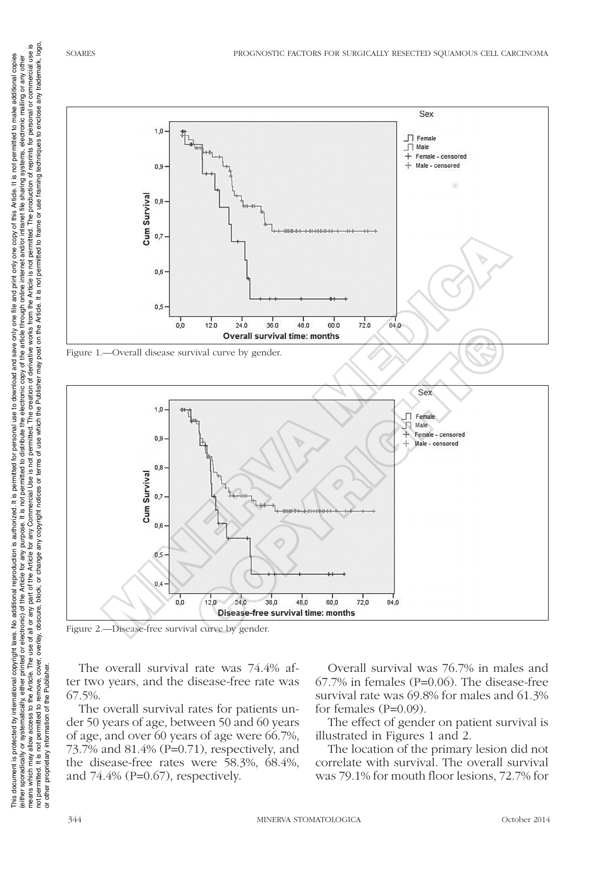This document is protected by international reproductional reproduction is authorized. It is permitted for personal use to download and save only one file and print only one copy of this Article. It is not permitted to mak (either sporadically, either printed or electronic) of the Article for any purpose. It is not permited to distribute the electronic copy of the article thriend in internet and or intranet file sharing systems, electronic m means which may allow access to the Article. The use of the Article use any part of the Article for any Commercial Use is not perative works from the Article is not permitted. The production of reprints for personal or com

This document is protected by international copyright laws. No additional reproduction is authorized. It is permitted for personal use to download and save only one file and print only one copy of this Article. It is not p





Figure 2.—Disease-free survival curve by gender.

The overall survival rate was 74.4% after two years, and the disease-free rate was 67.5%.

The overall survival rates for patients under 50 years of age, between 50 and 60 years of age, and over 60 years of age were 66.7%, 73.7% and 81.4% (P=0.71), respectively, and the disease-free rates were 58.3%, 68.4%, and 74.4% (P=0.67), respectively.

Overall survival was 76.7% in males and 67.7% in females (P=0.06). The disease-free survival rate was 69.8% for males and 61.3% for females (P=0.09).

The effect of gender on patient survival is illustrated in Figures 1 and 2.

The location of the primary lesion did not correlate with survival. The overall survival was 79.1% for mouth floor lesions, 72.7% for

or other proprietary information of the Publisher.

not permitted. It is not permitted to remove, cover, overlay, obscure,<br>or other proprietary information of the Publisher.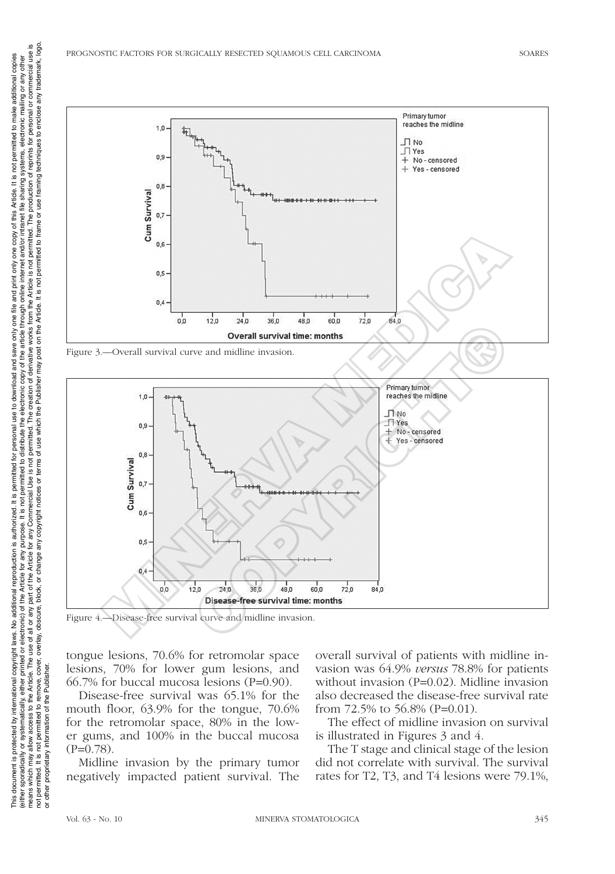

Figure 3.—Overall survival curve and midline invasion.



Figure 4.—Disease-free survival curve and midline invasion.

tongue lesions, 70.6% for retromolar space lesions, 70% for lower gum lesions, and 66.7% for buccal mucosa lesions (P=0.90).

Disease-free survival was 65.1% for the mouth floor, 63.9% for the tongue, 70.6% for the retromolar space, 80% in the lower gums, and 100% in the buccal mucosa  $(P=0.78)$ .

Midline invasion by the primary tumor negatively impacted patient survival. The

overall survival of patients with midline invasion was 64.9% *versus* 78.8% for patients without invasion (P=0.02). Midline invasion also decreased the disease-free survival rate from  $72.5\%$  to  $56.8\%$  (P=0.01).

The effect of midline invasion on survival is illustrated in Figures 3 and 4.

The T stage and clinical stage of the lesion did not correlate with survival. The survival rates for T2, T3, and T4 lesions were 79.1%,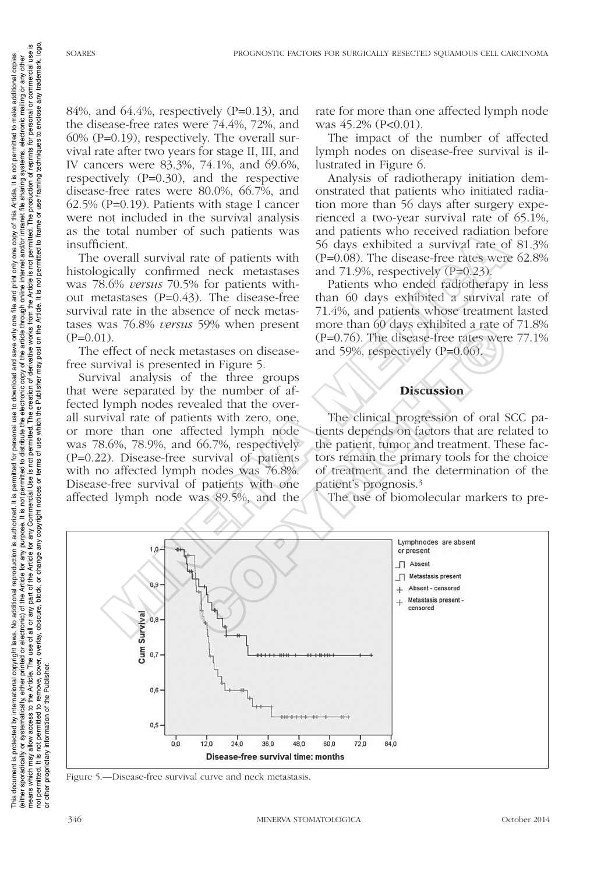to enclose any trademark, logo, reprints for personal or commercial use is

It is not permitted to make additional copies

one copy of this Article.

file and print only

one f

84%, and 64.4%, respectively (P=0.13), and the disease-free rates were 74.4%, 72%, and 60% (P=0.19), respectively. The overall survival rate after two years for stage II, III, and IV cancers were 83.3%, 74.1%, and 69.6%, respectively (P=0.30), and the respective disease-free rates were 80.0%, 66.7%, and 62.5% (P=0.19). Patients with stage I cancer were not included in the survival analysis as the total number of such patients was insufficient.

The overall survival rate of patients with histologically confirmed neck metastases was 78.6% *versus* 70.5% for patients without metastases (P=0.43). The disease-free survival rate in the absence of neck metastases was 76.8% *versus* 59% when present  $(P=0.01)$ .

The effect of neck metastases on diseasefree survival is presented in Figure 5.

Survival analysis of the three groups that were separated by the number of affected lymph nodes revealed that the overall survival rate of patients with zero, one, or more than one affected lymph node was 78.6%, 78.9%, and 66.7%, respectively (P=0.22). Disease-free survival of patients with no affected lymph nodes was 76.8%. Disease-free survival of patients with one affected lymph node was 89.5%, and the

rate for more than one affected lymph node was  $45.2\%$  (P<0.01).

The impact of the number of affected lymph nodes on disease-free survival is illustrated in Figure 6.

Analysis of radiotherapy initiation demonstrated that patients who initiated radiation more than 56 days after surgery experienced a two-year survival rate of 65.1%, and patients who received radiation before 56 days exhibited a survival rate of 81.3% (P=0.08). The disease-free rates were 62.8% and  $71.9\%$ , respectively  $(P=0.23)$ .

Patients who ended radiotherapy in less than 60 days exhibited a survival rate of 71.4%, and patients whose treatment lasted more than 60 days exhibited a rate of 71.8% (P=0.76). The disease-free rates were 77.1% and 59%, respectively (P=0.06).

## **Discussion**

The clinical progression of oral SCC patients depends on factors that are related to the patient, tumor and treatment. These factors remain the primary tools for the choice of treatment and the determination of the patient's prognosis.3

The use of biomolecular markers to pre-



Figure 5.—Disease-free survival curve and neck metastasis.

or other proprietary information of the Publisher.

proprietary information

not permitted. It is i<br>or other proprietary

ed to remove, c<br>n of the Publish

This document is protected by international reproductional reproduction is authorized. It is permitted for personal use to download and save only one file and print only one copy of this Article. It is not permitted to mak (either sporadically, either printed or electronic) of the Article for any purpose. It is not permited to distribute the electronic copy of the article thriend in internet and or intranet file sharing systems, electronic m means which may allow access to the Article. The use of the Article use any part of the Article for any Commercial Use is not perative works from the Article is not permitted. The production of reprints for personal or com not permitted to remove, cover, overlay, obscure, block, or change any copyright notices or terms of use which the Publisher may post on the Article. It is not permitted to frame or use framing techniques to enclose any tr

 $\overline{a}$ 

It is permitted

is authorized.

additional reproduction

copyright laws. No

This document is protected by international

personal use to download and save only

(ether sponatically or systematically, ether printed or electronic) of the Article is not permitted to distribute the electronic copy of the article through online internet and or hranet file sharing systems, electronic ma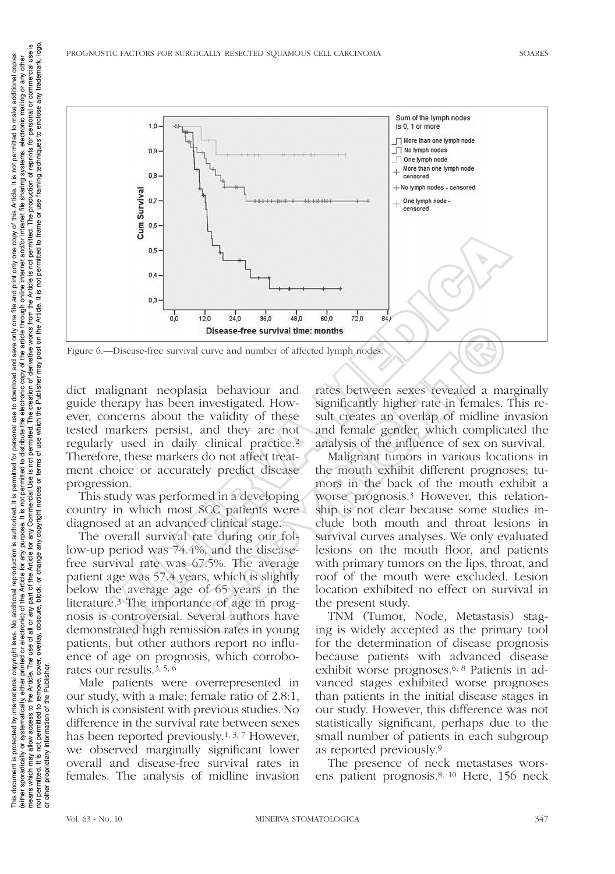

dict malignant neoplasia behaviour and guide therapy has been investigated. However, concerns about the validity of these tested markers persist, and they are not regularly used in daily clinical practice.2 Therefore, these markers do not affect treatment choice or accurately predict disease progression.

This study was performed in a developing country in which most SCC patients were diagnosed at an advanced clinical stage.

The overall survival rate during our follow-up period was 74.4%, and the diseasefree survival rate was 67.5%. The average patient age was 57.4 years, which is slightly below the average age of 65 years in the literature.3 The importance of age in prognosis is controversial. Several authors have demonstrated high remission rates in young patients, but other authors report no influence of age on prognosis, which corroborates our results.3, 5, 6

Male patients were overrepresented in our study, with a male: female ratio of 2.8:1, which is consistent with previous studies. No difference in the survival rate between sexes has been reported previously.1, 3, 7 However, we observed marginally significant lower overall and disease-free survival rates in females. The analysis of midline invasion rates between sexes revealed a marginally significantly higher rate in females. This result creates an overlap of midline invasion and female gender, which complicated the analysis of the influence of sex on survival.

Malignant tumors in various locations in the mouth exhibit different prognoses; tumors in the back of the mouth exhibit a worse prognosis.3 However, this relationship is not clear because some studies include both mouth and throat lesions in survival curves analyses. We only evaluated lesions on the mouth floor, and patients with primary tumors on the lips, throat, and roof of the mouth were excluded. Lesion location exhibited no effect on survival in the present study. Disease-free survival time: months<br>
al curve and number of affected lymph nodes:<br>
investigated. How-<br>
significantly higher rate in females.<br>
investigated. How-<br>
investigated and<br>
they are not and female gender, which compl

TNM (Tumor, Node, Metastasis) staging is widely accepted as the primary tool for the determination of disease prognosis because patients with advanced disease exhibit worse prognoses.6, 8 Patients in advanced stages exhibited worse prognoses than patients in the initial disease stages in our study. However, this difference was not statistically significant, perhaps due to the small number of patients in each subgroup as reported previously.9

The presence of neck metastases worsens patient prognosis.8, 10 Here, 156 neck

or other proprietary information of the Publisher.

not permitted. It is not permitted to remove, cove<br>or other proprietary information of the Publisher.

cover,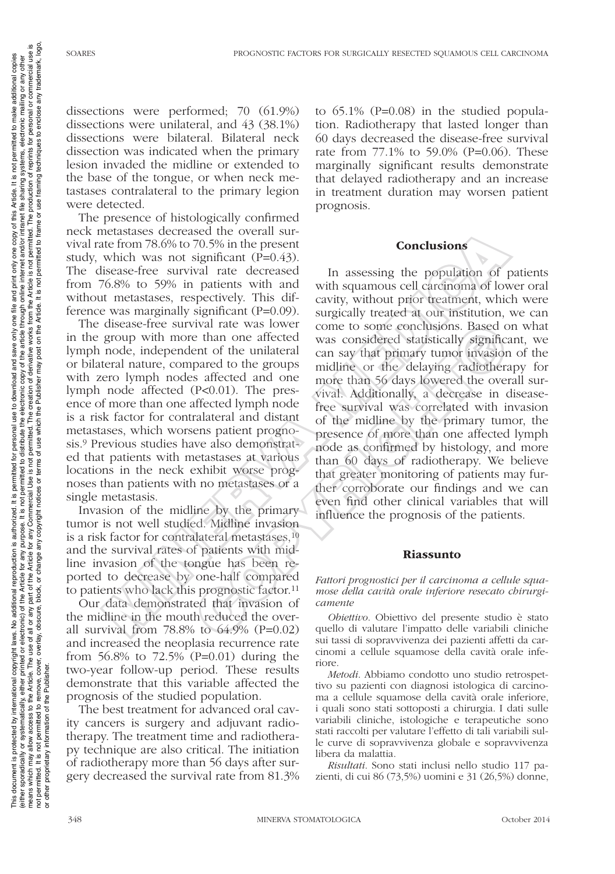reprints for personal or commercial use is to enclose any trademark, logo

one copy of this Article. It is not permitted to make additional copies

one file and print only

This document is protected by international reproductional reproduction is authorized. It is permitted for personal use to download and save only one file and print only one copy of this Article. It is not permitted to mak (either sporadically, either printed or electronic) of the Article for any purpose. It is not permited to distribute the electronic copy of the article thries internet and/or intranet file sharing systems, electronic maili means which may allow access to the Article. The use of the Article use any part of the Article for any Commercial Use is not perative works from the Article is not permitted. The production of reprints for personal or com not permitted to remove, cover, overlay, obscure, block, or change any copyright notices or terms of use which the Publisher may post on the Article. It is not permitted to frame or use framing techniques to enclose any tr

copyright laws. No additional reproduction is authorized. It is permitted for

personal use to download and save only

(ether sporadically or systematically, ether printed or electronic) of the Article branch in the interval or opportunity of the Article The Defined or electronic) of the Article for any purpose. It is not permitted to dist

dissections were performed; 70 (61.9%) dissections were unilateral, and 43 (38.1%) dissections were bilateral. Bilateral neck dissection was indicated when the primary lesion invaded the midline or extended to the base of the tongue, or when neck metastases contralateral to the primary legion were detected.

The presence of histologically confirmed neck metastases decreased the overall survival rate from 78.6% to 70.5% in the present study, which was not significant (P=0.43). The disease-free survival rate decreased from 76.8% to 59% in patients with and without metastases, respectively. This difference was marginally significant (P=0.09).

The disease-free survival rate was lower in the group with more than one affected lymph node, independent of the unilateral or bilateral nature, compared to the groups with zero lymph nodes affected and one lymph node affected (P<0.01). The presence of more than one affected lymph node is a risk factor for contralateral and distant metastases, which worsens patient prognosis.9 Previous studies have also demonstrated that patients with metastases at various locations in the neck exhibit worse prognoses than patients with no metastases or a single metastasis.

Invasion of the midline by the primary tumor is not well studied. Midline invasion is a risk factor for contralateral metastases,<sup>10</sup> and the survival rates of patients with midline invasion of the tongue has been reported to decrease by one-half compared to patients who lack this prognostic factor.11

Our data demonstrated that invasion of the midline in the mouth reduced the overall survival from  $78.8\%$  to  $64.9\%$  (P=0.02) and increased the neoplasia recurrence rate from 56.8% to 72.5% (P=0.01) during the two-year follow-up period. These results demonstrate that this variable affected the prognosis of the studied population.

The best treatment for advanced oral cavity cancers is surgery and adjuvant radiotherapy. The treatment time and radiotherapy technique are also critical. The initiation of radiotherapy more than 56 days after surgery decreased the survival rate from 81.3% to 65.1% (P=0.08) in the studied population. Radiotherapy that lasted longer than 60 days decreased the disease-free survival rate from 77.1% to 59.0% (P=0.06). These marginally significant results demonstrate that delayed radiotherapy and an increase in treatment duration may worsen patient prognosis.

### Conclusions

In assessing the population of patients with squamous cell carcinoma of lower oral cavity, without prior treatment, which were surgically treated at our institution, we can come to some conclusions. Based on what was considered statistically significant, we can say that primary tumor invasion of the midline or the delaying radiotherapy for more than 56 days lowered the overall survival. Additionally, a decrease in diseasefree survival was correlated with invasion of the midline by the primary tumor, the presence of more than one affected lymph node as confirmed by histology, and more than 60 days of radiotherapy. We believe that greater monitoring of patients may further corroborate our findings and we can even find other clinical variables that will influence the prognosis of the patients. icustases of creates the overall surface in the present in the present of the form 78.6% to 70.5% in the present<br>
is isose-free survival rate decreased in assessing the population of los<br>
isose-free survival rate decrease The mome affected was onsidered the than one and the endined the cent<br>that cent of the unilateral can say that primary tumor invasion<br>pared to the groups and the primary tumor invasion<br>pared to the groups midline or the d

#### Riassunto

*Fattori prognostici per il carcinoma a cellule squamose della cavità orale inferiore resecato chirurgicamente*

*Obiettivo*. Obiettivo del presente studio è stato quello di valutare l'impatto delle variabili cliniche sui tassi di sopravvivenza dei pazienti affetti da carcinomi a cellule squamose della cavità orale inferiore.

*Metodi*. Abbiamo condotto uno studio retrospettivo su pazienti con diagnosi istologica di carcinoma a cellule squamose della cavità orale inferiore, i quali sono stati sottoposti a chirurgia. I dati sulle variabili cliniche, istologiche e terapeutiche sono stati raccolti per valutare l'effetto di tali variabili sulle curve di sopravvivenza globale e sopravvivenza libera da malattia.

*Risultati*. Sono stati inclusi nello studio 117 pazienti, di cui 86 (73,5%) uomini e 31 (26,5%) donne,

or other proprietary information of the Publisher.

mitted. It is not permitted to remove,<br>proprietary information of the Publis

not permitted. It is<br>or other proprietary

This document is protected by international